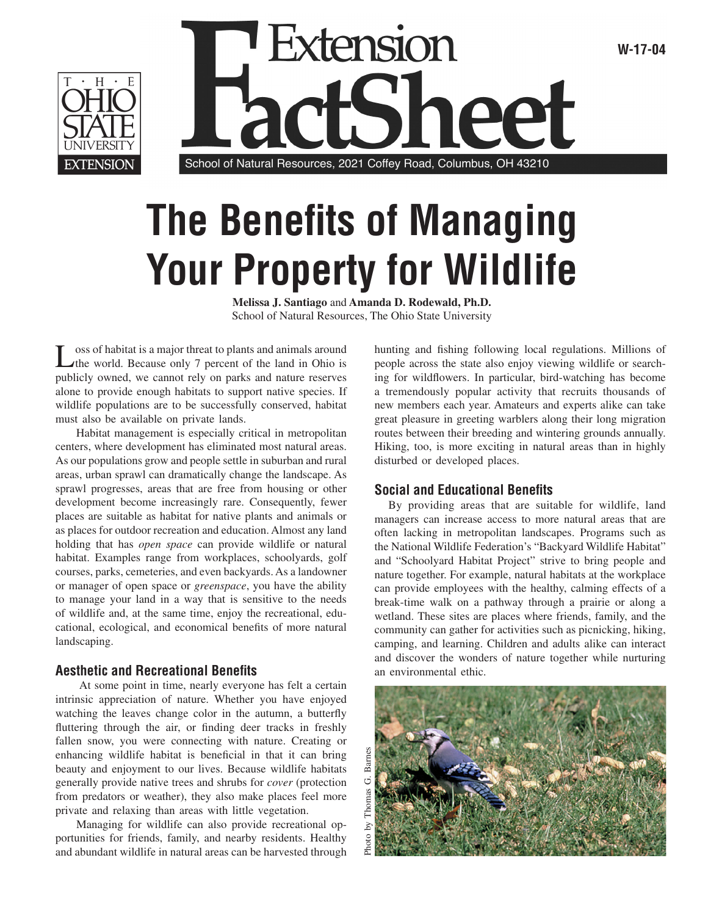



# **The Benefits of Managing Your Property for Wildlife**

**Melissa J. Santiago** and **Amanda D. Rodewald, Ph.D.** School of Natural Resources, The Ohio State University

Loss of habitat is a major threat to plants and animals around the world. Because only 7 percent of the land in Ohio is publicly owned, we cannot rely on parks and nature reserves alone to provide enough habitats to support native species. If wildlife populations are to be successfully conserved, habitat must also be available on private lands.

 Habitat management is especially critical in metropolitan centers, where development has eliminated most natural areas. As our populations grow and people settle in suburban and rural areas, urban sprawl can dramatically change the landscape. As sprawl progresses, areas that are free from housing or other development become increasingly rare. Consequently, fewer places are suitable as habitat for native plants and animals or as places for outdoor recreation and education. Almost any land holding that has *open space* can provide wildlife or natural habitat. Examples range from workplaces, schoolyards, golf courses, parks, cemeteries, and even backyards. As a landowner or manager of open space or *greenspace*, you have the ability to manage your land in a way that is sensitive to the needs of wildlife and, at the same time, enjoy the recreational, educational, ecological, and economical benefits of more natural landscaping.

#### **Aesthetic and Recreational Benefits**

 At some point in time, nearly everyone has felt a certain intrinsic appreciation of nature. Whether you have enjoyed watching the leaves change color in the autumn, a butterfly fluttering through the air, or finding deer tracks in freshly fallen snow, you were connecting with nature. Creating or enhancing wildlife habitat is beneficial in that it can bring beauty and enjoyment to our lives. Because wildlife habitats generally provide native trees and shrubs for *cover* (protection from predators or weather), they also make places feel more private and relaxing than areas with little vegetation.

 Managing for wildlife can also provide recreational opportunities for friends, family, and nearby residents. Healthy and abundant wildlife in natural areas can be harvested through

hunting and fishing following local regulations. Millions of people across the state also enjoy viewing wildlife or searching for wildflowers. In particular, bird-watching has become a tremendously popular activity that recruits thousands of new members each year. Amateurs and experts alike can take great pleasure in greeting warblers along their long migration routes between their breeding and wintering grounds annually. Hiking, too, is more exciting in natural areas than in highly disturbed or developed places.

## **Social and Educational Benefits**

By providing areas that are suitable for wildlife, land managers can increase access to more natural areas that are often lacking in metropolitan landscapes. Programs such as the National Wildlife Federation's "Backyard Wildlife Habitat" and "Schoolyard Habitat Project" strive to bring people and nature together. For example, natural habitats at the workplace can provide employees with the healthy, calming effects of a break-time walk on a pathway through a prairie or along a wetland. These sites are places where friends, family, and the community can gather for activities such as picnicking, hiking, camping, and learning. Children and adults alike can interact and discover the wonders of nature together while nurturing an environmental ethic.

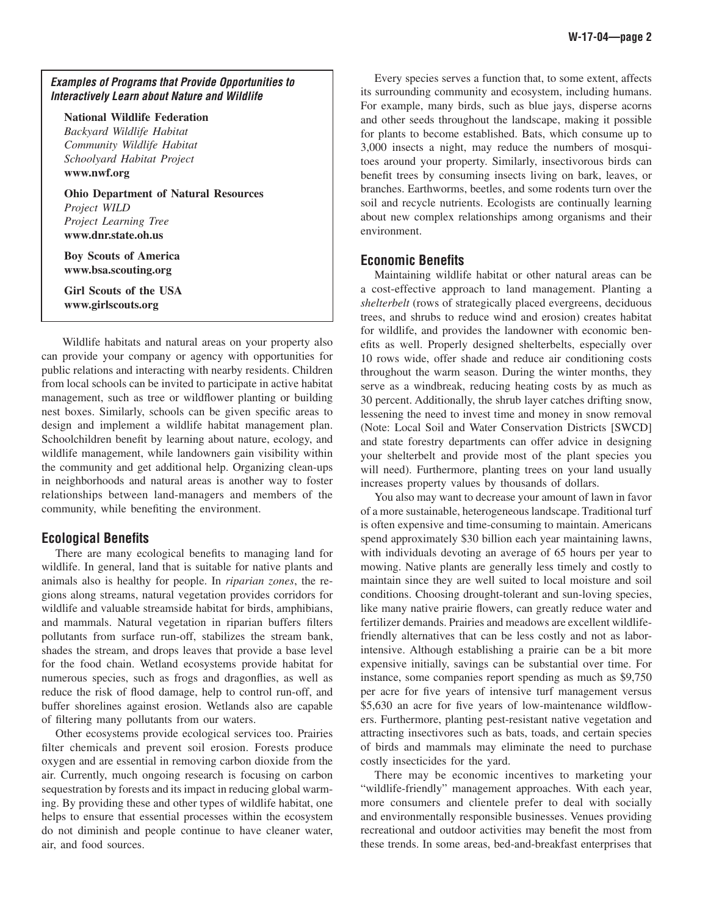#### **Examples of Programs that Provide Opportunities to Interactively Learn about Nature and Wildlife**

**National Wildlife Federation** *Backyard Wildlife Habitat Community Wildlife Habitat Schoolyard Habitat Project*

**www.nwf.org**

**Ohio Department of Natural Resources** *Project WILD Project Learning Tree* **www.dnr.state.oh.us**

**Boy Scouts of America www.bsa.scouting.org**

**Girl Scouts of the USA www.girlscouts.org**

 Wildlife habitats and natural areas on your property also can provide your company or agency with opportunities for public relations and interacting with nearby residents. Children from local schools can be invited to participate in active habitat management, such as tree or wildflower planting or building nest boxes. Similarly, schools can be given specific areas to design and implement a wildlife habitat management plan. Schoolchildren benefit by learning about nature, ecology, and wildlife management, while landowners gain visibility within the community and get additional help. Organizing clean-ups in neighborhoods and natural areas is another way to foster relationships between land-managers and members of the community, while benefiting the environment.

## **Ecological Benefits**

There are many ecological benefits to managing land for wildlife. In general, land that is suitable for native plants and animals also is healthy for people. In *riparian zones*, the regions along streams, natural vegetation provides corridors for wildlife and valuable streamside habitat for birds, amphibians, and mammals. Natural vegetation in riparian buffers filters pollutants from surface run-off, stabilizes the stream bank, shades the stream, and drops leaves that provide a base level for the food chain. Wetland ecosystems provide habitat for numerous species, such as frogs and dragonflies, as well as reduce the risk of flood damage, help to control run-off, and buffer shorelines against erosion. Wetlands also are capable of filtering many pollutants from our waters.

Other ecosystems provide ecological services too. Prairies filter chemicals and prevent soil erosion. Forests produce oxygen and are essential in removing carbon dioxide from the air. Currently, much ongoing research is focusing on carbon sequestration by forests and its impact in reducing global warming. By providing these and other types of wildlife habitat, one helps to ensure that essential processes within the ecosystem do not diminish and people continue to have cleaner water, air, and food sources.

Every species serves a function that, to some extent, affects its surrounding community and ecosystem, including humans. For example, many birds, such as blue jays, disperse acorns and other seeds throughout the landscape, making it possible for plants to become established. Bats, which consume up to 3,000 insects a night, may reduce the numbers of mosquitoes around your property. Similarly, insectivorous birds can benefit trees by consuming insects living on bark, leaves, or branches. Earthworms, beetles, and some rodents turn over the soil and recycle nutrients. Ecologists are continually learning about new complex relationships among organisms and their environment.

## **Economic Benefits**

Maintaining wildlife habitat or other natural areas can be a cost-effective approach to land management. Planting a *shelterbelt* (rows of strategically placed evergreens, deciduous trees, and shrubs to reduce wind and erosion) creates habitat for wildlife, and provides the landowner with economic benefits as well. Properly designed shelterbelts, especially over 10 rows wide, offer shade and reduce air conditioning costs throughout the warm season. During the winter months, they serve as a windbreak, reducing heating costs by as much as 30 percent. Additionally, the shrub layer catches drifting snow, lessening the need to invest time and money in snow removal (Note: Local Soil and Water Conservation Districts [SWCD] and state forestry departments can offer advice in designing your shelterbelt and provide most of the plant species you will need). Furthermore, planting trees on your land usually increases property values by thousands of dollars.

You also may want to decrease your amount of lawn in favor of a more sustainable, heterogeneous landscape. Traditional turf is often expensive and time-consuming to maintain. Americans spend approximately \$30 billion each year maintaining lawns, with individuals devoting an average of 65 hours per year to mowing. Native plants are generally less timely and costly to maintain since they are well suited to local moisture and soil conditions. Choosing drought-tolerant and sun-loving species, like many native prairie flowers, can greatly reduce water and fertilizer demands. Prairies and meadows are excellent wildlifefriendly alternatives that can be less costly and not as laborintensive. Although establishing a prairie can be a bit more expensive initially, savings can be substantial over time. For instance, some companies report spending as much as \$9,750 per acre for five years of intensive turf management versus \$5,630 an acre for five years of low-maintenance wildflowers. Furthermore, planting pest-resistant native vegetation and attracting insectivores such as bats, toads, and certain species of birds and mammals may eliminate the need to purchase costly insecticides for the yard.

There may be economic incentives to marketing your "wildlife-friendly" management approaches. With each year, more consumers and clientele prefer to deal with socially and environmentally responsible businesses. Venues providing recreational and outdoor activities may benefit the most from these trends. In some areas, bed-and-breakfast enterprises that